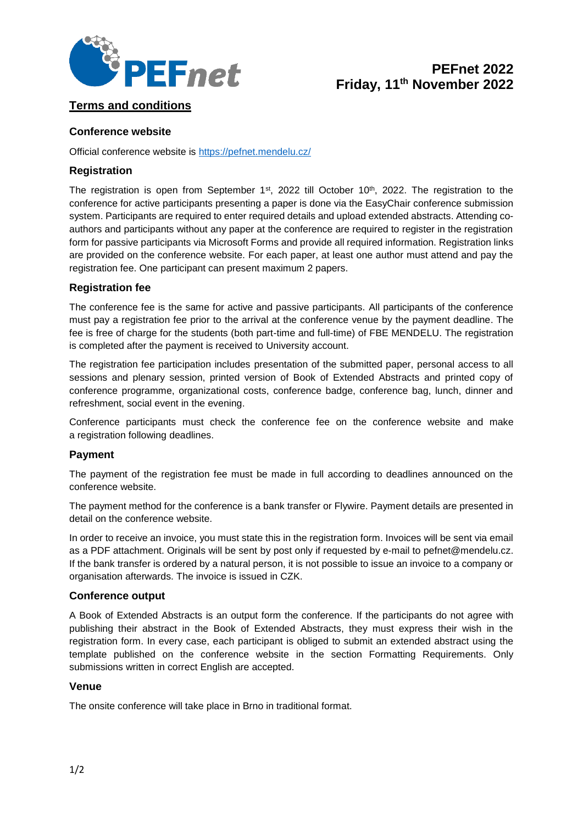

# **PEFnet 2022 Friday, 11th November 2022**

# **Terms and conditions**

## **Conference website**

Official conference website is<https://pefnet.mendelu.cz/>

## **Registration**

The registration is open from September 1<sup>st</sup>, 2022 till October 10<sup>th</sup>, 2022. The registration to the conference for active participants presenting a paper is done via the EasyChair conference submission system. Participants are required to enter required details and upload extended abstracts. Attending coauthors and participants without any paper at the conference are required to register in the registration form for passive participants via Microsoft Forms and provide all required information. Registration links are provided on the conference website. For each paper, at least one author must attend and pay the registration fee. One participant can present maximum 2 papers.

## **Registration fee**

The conference fee is the same for active and passive participants. All participants of the conference must pay a registration fee prior to the arrival at the conference venue by the payment deadline. The fee is free of charge for the students (both part-time and full-time) of FBE MENDELU. The registration is completed after the payment is received to University account.

The registration fee participation includes presentation of the submitted paper, personal access to all sessions and plenary session, printed version of Book of Extended Abstracts and printed copy of conference programme, organizational costs, conference badge, conference bag, lunch, dinner and refreshment, social event in the evening.

Conference participants must check the conference fee on the conference website and make a registration following deadlines.

## **Payment**

The payment of the registration fee must be made in full according to deadlines announced on the conference website.

The payment method for the conference is a bank transfer or Flywire. Payment details are presented in detail on the conference website.

In order to receive an invoice, you must state this in the registration form. Invoices will be sent via email as a PDF attachment. Originals will be sent by post only if requested by e-mail to pefnet@mendelu.cz. If the bank transfer is ordered by a natural person, it is not possible to issue an invoice to a company or organisation afterwards. The invoice is issued in CZK.

## **Conference output**

A Book of Extended Abstracts is an output form the conference. If the participants do not agree with publishing their abstract in the Book of Extended Abstracts, they must express their wish in the registration form. In every case, each participant is obliged to submit an extended abstract using the template published on the conference website in the section Formatting Requirements. Only submissions written in correct English are accepted.

## **Venue**

The onsite conference will take place in Brno in traditional format.